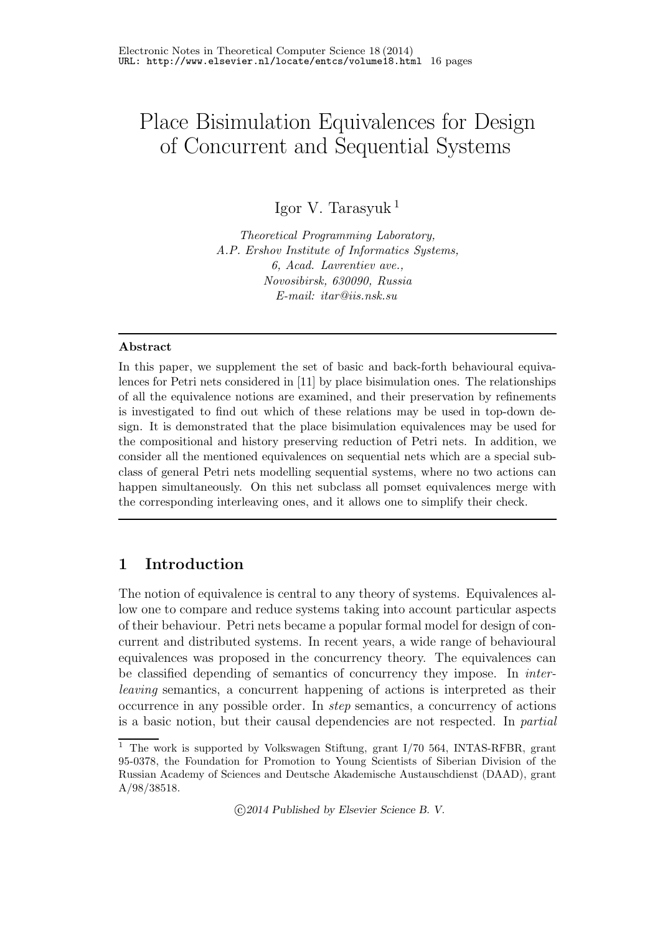# Place Bisimulation Equivalences for Design of Concurrent and Sequential Systems

Igor V. Tarasyuk <sup>1</sup>

*Theoretical Programming Laboratory, A.P. Ershov Institute of Informatics Systems, 6, Acad. Lavrentiev ave., Novosibirsk, 630090, Russia E-mail: itar@iis.nsk.su*

#### Abstract

In this paper, we supplement the set of basic and back-forth behavioural equivalences for Petri nets considered in [11] by place bisimulation ones. The relationships of all the equivalence notions are examined, and their preservation by refinements is investigated to find out which of these relations may be used in top-down design. It is demonstrated that the place bisimulation equivalences may be used for the compositional and history preserving reduction of Petri nets. In addition, we consider all the mentioned equivalences on sequential nets which are a special subclass of general Petri nets modelling sequential systems, where no two actions can happen simultaneously. On this net subclass all pomset equivalences merge with the corresponding interleaving ones, and it allows one to simplify their check.

## 1 Introduction

The notion of equivalence is central to any theory of systems. Equivalences allow one to compare and reduce systems taking into account particular aspects of their behaviour. Petri nets became a popular formal model for design of concurrent and distributed systems. In recent years, a wide range of behavioural equivalences was proposed in the concurrency theory. The equivalences can be classified depending of semantics of concurrency they impose. In *inter*leaving semantics, a concurrent happening of actions is interpreted as their occurrence in any possible order. In step semantics, a concurrency of actions is a basic notion, but their causal dependencies are not respected. In partial

c 2014 Published by Elsevier Science B. V.

<sup>&</sup>lt;sup>1</sup> The work is supported by Volkswagen Stiftung, grant I/70 564, INTAS-RFBR, grant 95-0378, the Foundation for Promotion to Young Scientists of Siberian Division of the Russian Academy of Sciences and Deutsche Akademische Austauschdienst (DAAD), grant A/98/38518.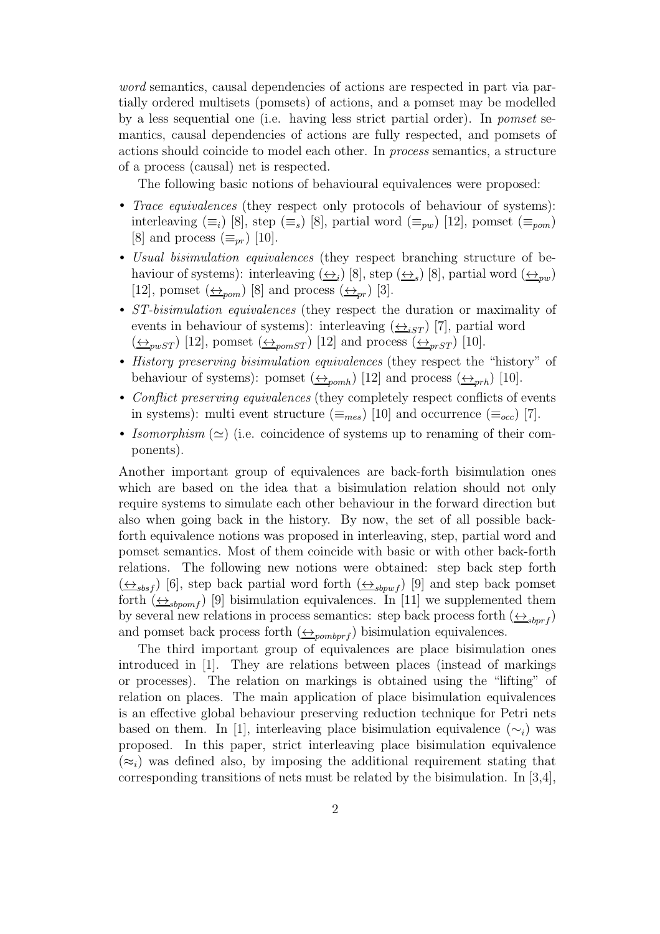word semantics, causal dependencies of actions are respected in part via partially ordered multisets (pomsets) of actions, and a pomset may be modelled by a less sequential one (i.e. having less strict partial order). In pomset semantics, causal dependencies of actions are fully respected, and pomsets of actions should coincide to model each other. In process semantics, a structure of a process (causal) net is respected.

The following basic notions of behavioural equivalences were proposed:

- Trace equivalences (they respect only protocols of behaviour of systems): interleaving  $(\equiv_i)$  [8], step  $(\equiv_s)$  [8], partial word  $(\equiv_{pw})$  [12], pomset  $(\equiv_{pom})$ [8] and process  $(\equiv_{nr})$  [10].
- Usual bisimulation equivalences (they respect branching structure of behaviour of systems): interleaving  $(\underline{\leftrightarrow}_i)$  [8], step  $(\underline{\leftrightarrow}_s)$  [8], partial word  $(\underline{\leftrightarrow}_{pw})$ [12], pomset  $(\underline{\leftrightarrow}_{\text{pom}})$  [8] and process  $(\underline{\leftrightarrow}_{\text{pr}})$  [3].
- *ST-bisimulation equivalences* (they respect the duration or maximality of events in behaviour of systems): interleaving  $(\triangle_{iST})$  [7], partial word  $(\leftrightarrow_{pwST} [12],$  pomset  $(\leftrightarrow_{pomST} [12]$  and process  $(\leftrightarrow_{prST} [10].$
- History preserving bisimulation equivalences (they respect the "history" of behaviour of systems): pomset  $(\underline{\leftrightarrow}_{pomb})$  [12] and process  $(\underline{\leftrightarrow}_{prh})$  [10].
- Conflict preserving equivalences (they completely respect conflicts of events in systems): multi event structure  $(\equiv_{mes})$  [10] and occurrence  $(\equiv_{occ})$  [7].
- Isomorphism  $(\simeq)$  (i.e. coincidence of systems up to renaming of their components).

Another important group of equivalences are back-forth bisimulation ones which are based on the idea that a bisimulation relation should not only require systems to simulate each other behaviour in the forward direction but also when going back in the history. By now, the set of all possible backforth equivalence notions was proposed in interleaving, step, partial word and pomset semantics. Most of them coincide with basic or with other back-forth relations. The following new notions were obtained: step back step forth  $(\underline{\leftrightarrow}_{sbsf})$  [6], step back partial word forth  $(\underline{\leftrightarrow}_{sbpwf})$  [9] and step back pomset forth  $(\leftrightarrow_{sbpomf})$  [9] bisimulation equivalences. In [11] we supplemented them by several new relations in process semantics: step back process forth  $(\leftrightarrow_{sbrf})$ and pomset back process forth  $(\underline{\leftrightarrow}_{pombprf})$  bisimulation equivalences.

The third important group of equivalences are place bisimulation ones introduced in [1]. They are relations between places (instead of markings or processes). The relation on markings is obtained using the "lifting" of relation on places. The main application of place bisimulation equivalences is an effective global behaviour preserving reduction technique for Petri nets based on them. In [1], interleaving place bisimulation equivalence  $(\sim_i)$  was proposed. In this paper, strict interleaving place bisimulation equivalence  $(\approx_i)$  was defined also, by imposing the additional requirement stating that corresponding transitions of nets must be related by the bisimulation. In [3,4],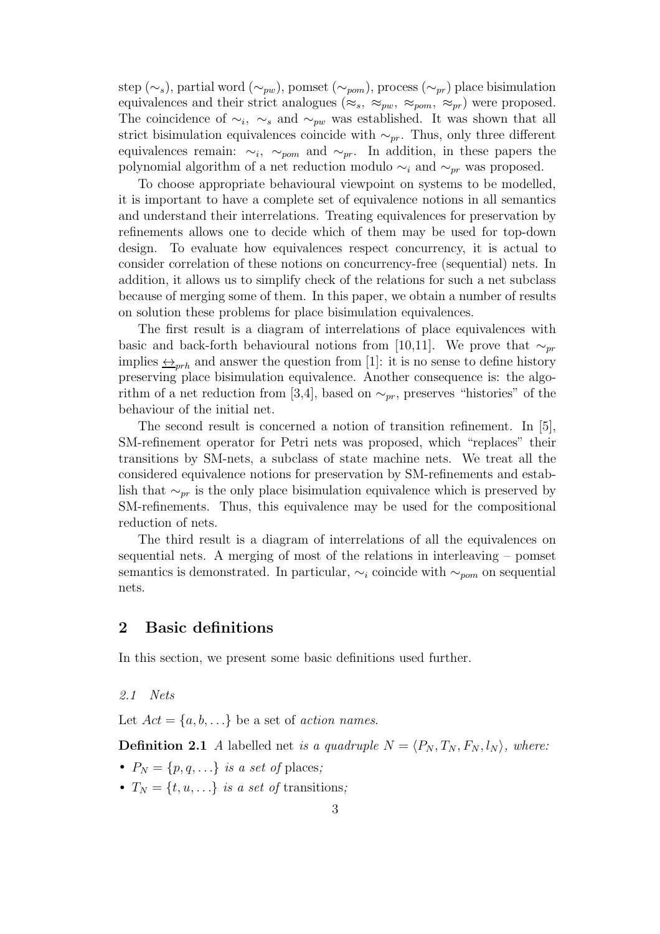step (∼s), partial word (∼<sub>pw</sub>), pomset (∼<sub>pom</sub>), process (∼<sub>pr</sub>) place bisimulation equivalences and their strict analogues ( $\approx_s$ ,  $\approx_{pw}$ ,  $\approx_{pom}$ ,  $\approx_{pr}$ ) were proposed. The coincidence of  $\sim_i$ ,  $\sim_s$  and  $\sim_{pw}$  was established. It was shown that all strict bisimulation equivalences coincide with  $\sim_{pr}$ . Thus, only three different equivalences remain:  $\sim_i$ ,  $\sim_{pom}$  and  $\sim_{pr}$ . In addition, in these papers the polynomial algorithm of a net reduction modulo  $\sim_i$  and  $\sim_{pr}$  was proposed.

To choose appropriate behavioural viewpoint on systems to be modelled, it is important to have a complete set of equivalence notions in all semantics and understand their interrelations. Treating equivalences for preservation by refinements allows one to decide which of them may be used for top-down design. To evaluate how equivalences respect concurrency, it is actual to consider correlation of these notions on concurrency-free (sequential) nets. In addition, it allows us to simplify check of the relations for such a net subclass because of merging some of them. In this paper, we obtain a number of results on solution these problems for place bisimulation equivalences.

The first result is a diagram of interrelations of place equivalences with basic and back-forth behavioural notions from [10,11]. We prove that  $\sim_{pr}$ implies  $\leftrightarrow_{\text{orb}}$  and answer the question from [1]: it is no sense to define history preserving place bisimulation equivalence. Another consequence is: the algorithm of a net reduction from [3,4], based on  $\sim_{pr}$ , preserves "histories" of the behaviour of the initial net.

The second result is concerned a notion of transition refinement. In [5], SM-refinement operator for Petri nets was proposed, which "replaces" their transitions by SM-nets, a subclass of state machine nets. We treat all the considered equivalence notions for preservation by SM-refinements and establish that  $\sim_{pr}$  is the only place bisimulation equivalence which is preserved by SM-refinements. Thus, this equivalence may be used for the compositional reduction of nets.

The third result is a diagram of interrelations of all the equivalences on sequential nets. A merging of most of the relations in interleaving – pomset semantics is demonstrated. In particular,  $\sim_i$  coincide with  $\sim_{pom}$  on sequential nets.

## 2 Basic definitions

In this section, we present some basic definitions used further.

2.1 Nets

Let  $Act = \{a, b, \ldots\}$  be a set of *action names*.

**Definition 2.1** A labelled net is a quadruple  $N = \langle P_N, T_N, F_N, l_N \rangle$ , where:

- $P_N = \{p, q, \ldots\}$  is a set of places;
- $T_N = \{t, u, ...\}$  is a set of transitions;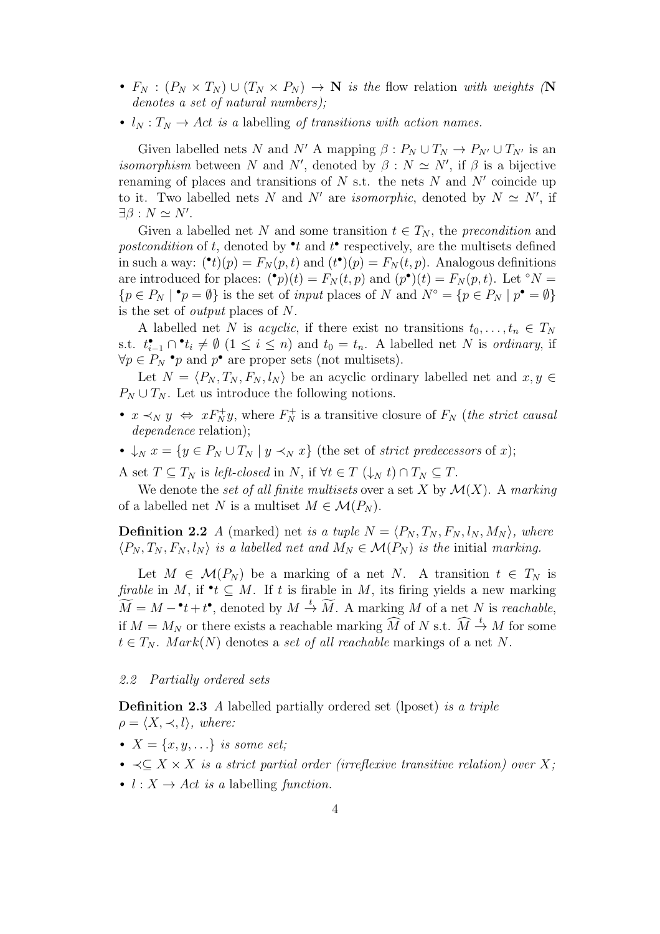- $F_N : (P_N \times T_N) \cup (T_N \times P_N) \to \mathbb{N}$  is the flow relation with weights (N denotes a set of natural numbers);
- $l_N : T_N \to Act$  is a labelling of transitions with action names.

Given labelled nets N and N' A mapping  $\beta: P_N \cup T_N \to P_{N'} \cup T_{N'}$  is an *isomorphism* between N and N', denoted by  $\beta : N \simeq N'$ , if  $\beta$  is a bijective renaming of places and transitions of  $N$  s.t. the nets  $N$  and  $N'$  coincide up to it. Two labelled nets N and N' are *isomorphic*, denoted by  $N \simeq N'$ , if  $\exists \beta : N \simeq N'.$ 

Given a labelled net N and some transition  $t \in T_N$ , the precondition and postcondition of t, denoted by  $\bullet t$  and  $t$  respectively, are the multisets defined in such a way:  $(\bullet t)(p) = F_N(p, t)$  and  $(t^{\bullet})(p) = F_N(t, p)$ . Analogous definitions are introduced for places:  $({}^{\bullet}p)(t) = F_N(t,p)$  and  $(p^{\bullet})(t) = F_N(p,t)$ . Let  ${}^{\circ}N =$  ${p \in P_N \mid \mathbf{P} = \emptyset}$  is the set of *input* places of N and  $N^{\circ} = {p \in P_N \mid p^{\bullet} = \emptyset}$ is the set of output places of N.

A labelled net N is *acyclic*, if there exist no transitions  $t_0, \ldots, t_n \in T_N$ s.t.  $t_{i-1}^{\bullet} \cap \bullet t_i \neq \emptyset$   $(1 \leq i \leq n)$  and  $t_0 = t_n$ . A labelled net N is ordinary, if  $\forall p \in P_N$  • p and p• are proper sets (not multisets).

Let  $N = \langle P_N , T_N , F_N , l_N \rangle$  be an acyclic ordinary labelled net and  $x, y \in$  $P_N \cup T_N$ . Let us introduce the following notions.

- $x \prec_N y \Leftrightarrow x F_N^+ y$ , where  $F_N^+$  is a transitive closure of  $F_N$  (the strict causal dependence relation);
- $\downarrow_N x = \{y \in P_N \cup T_N \mid y \prec_N x\}$  (the set of *strict predecessors* of x);

A set  $T \subseteq T_N$  is left-closed in N, if  $\forall t \in T \ (\downarrow_N t) \cap T_N \subseteq T$ .

We denote the set of all finite multisets over a set X by  $\mathcal{M}(X)$ . A marking of a labelled net N is a multiset  $M \in \mathcal{M}(P_N)$ .

**Definition 2.2** A (marked) net is a tuple  $N = \langle P_N, T_N, F_N, l_N, M_N \rangle$ , where  $\langle P_N, T_N, F_N, l_N \rangle$  is a labelled net and  $M_N \in \mathcal{M}(P_N)$  is the initial marking.

Let  $M \in \mathcal{M}(P_N)$  be a marking of a net N. A transition  $t \in T_N$  is firable in M, if  $\cdot t \subseteq M$ . If t is firable in M, its firing yields a new marking  $\widetilde{M} = M - \cdot t + t^{\bullet}$ , denoted by  $M \stackrel{t}{\rightarrow} \widetilde{M}$ . A marking M of a net N is reachable, if  $M = M_N$  or there exists a reachable marking  $\widehat{M}$  of N s.t.  $\widehat{M} \stackrel{t}{\rightarrow} M$  for some  $t \in T_N$ . Mark(N) denotes a set of all reachable markings of a net N.

#### 2.2 Partially ordered sets

Definition 2.3 A labelled partially ordered set (lposet) is a triple  $\rho = \langle X, \prec, l \rangle$ , where:

- $X = \{x, y, \ldots\}$  is some set;
- $\prec$  $\subset$  X  $\times$  X is a strict partial order (irreflexive transitive relation) over X;
- $l : X \rightarrow Act$  is a labelling function.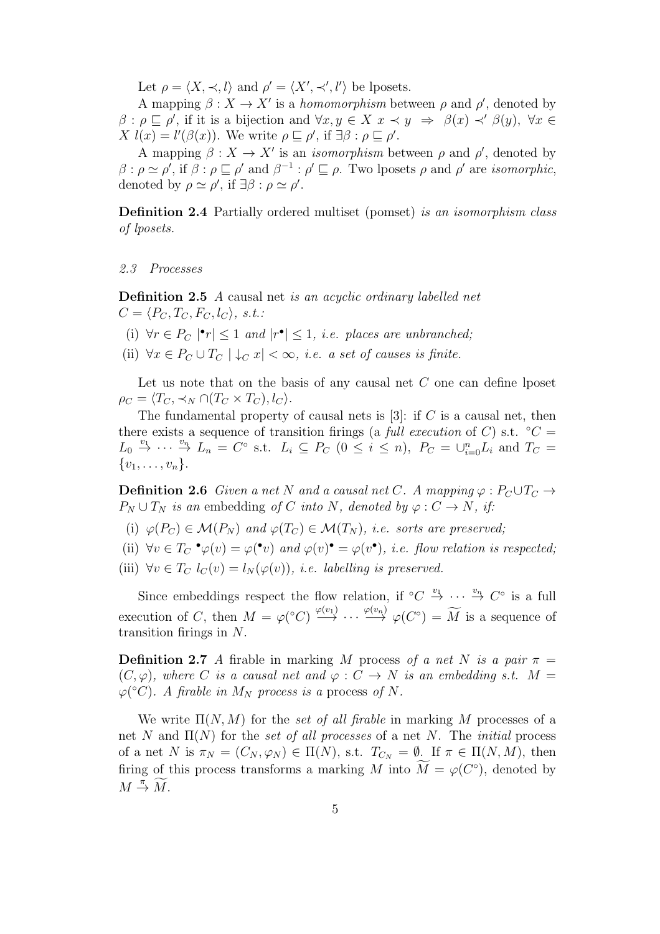Let  $\rho = \langle X, \prec, l \rangle$  and  $\rho' = \langle X', \prec', l' \rangle$  be lposets.

A mapping  $\beta: X \to X'$  is a *homomorphism* between  $\rho$  and  $\rho'$ , denoted by  $\beta$ :  $\rho \sqsubseteq \rho'$ , if it is a bijection and  $\forall x, y \in X \ x \prec y \Rightarrow \beta(x) \prec' \beta(y)$ ,  $\forall x \in$  $X l(x) = l'(\beta(x))$ . We write  $\rho \sqsubseteq \rho'$ , if  $\exists \beta : \rho \sqsubseteq \rho'$ .

A mapping  $\beta: X \to X'$  is an *isomorphism* between  $\rho$  and  $\rho'$ , denoted by  $\beta$ :  $\rho \simeq \rho'$ , if  $\beta$ :  $\rho \sqsubseteq \rho'$  and  $\beta^{-1}$ :  $\rho' \sqsubseteq \rho$ . Two lposets  $\rho$  and  $\rho'$  are *isomorphic*, denoted by  $\rho \simeq \rho'$ , if  $\exists \beta : \rho \simeq \rho'$ .

Definition 2.4 Partially ordered multiset (pomset) is an isomorphism class of lposets.

2.3 Processes

Definition 2.5 A causal net is an acyclic ordinary labelled net  $C = \langle P_C, T_C, F_C, l_C \rangle, s.t.$ 

- (i)  $\forall r \in P_C \mid \mathbf{r} \leq 1$  and  $|\mathbf{r} \cdot \mathbf{r}| \leq 1$ , i.e. places are unbranched;
- (ii)  $\forall x \in P_C \cup T_C \mid \downarrow_C x \mid < \infty$ , *i.e.* a set of causes is finite.

Let us note that on the basis of any causal net  $C$  one can define lposet  $\rho_C = \langle T_C, \prec_N \bigcap (T_C \times T_C), l_C \rangle.$ 

The fundamental property of causal nets is  $[3]$ : if C is a causal net, then there exists a sequence of transition firings (a full execution of C) s.t.  $°C =$  $L_0 \stackrel{v_1}{\rightarrow} \cdots \stackrel{v_n}{\rightarrow} L_n = C^{\circ}$  s.t.  $L_i \subseteq P_C$   $(0 \leq i \leq n)$ ,  $P_C = \bigcup_{i=0}^n L_i$  and  $T_C =$  $\{v_1, \ldots, v_n\}.$ 

**Definition 2.6** Given a net N and a causal net C. A mapping  $\varphi : P_C \cup T_C \rightarrow$  $P_N \cup T_N$  is an embedding of C into N, denoted by  $\varphi: C \to N$ , if:

- (i)  $\varphi(P_C) \in \mathcal{M}(P_N)$  and  $\varphi(T_C) \in \mathcal{M}(T_N)$ , i.e. sorts are preserved;
- (ii)  $\forall v \in T_C \bullet \varphi(v) = \varphi(\bullet v)$  and  $\varphi(v) \bullet \varphi(v) = \varphi(v \bullet)$ , *i.e.* flow relation is respected;
- (iii)  $\forall v \in T_C \, l_C(v) = l_N(\varphi(v))$ , *i.e. labelling is preserved.*

Since embeddings respect the flow relation, if  $\mathrm{°C} \overset{v_1}{\rightarrow} \cdots \overset{v_n}{\rightarrow} C^{\circ}$  is a full execution of C, then  $M = \varphi({}^{\circ}C) \stackrel{\varphi(v_1)}{\longrightarrow} \cdots \stackrel{\varphi(v_n)}{\longrightarrow} \varphi(C^{\circ}) = \widetilde{M}$  is a sequence of transition firings in  $N$ .

**Definition 2.7** A firable in marking M process of a net N is a pair  $\pi$  $(C, \varphi)$ , where C is a causal net and  $\varphi : C \to N$  is an embedding s.t.  $M =$  $\varphi({}^{\circ}C)$ . A firable in  $M_N$  process is a process of N.

We write  $\Pi(N, M)$  for the set of all firable in marking M processes of a net N and  $\Pi(N)$  for the set of all processes of a net N. The *initial* process of a net N is  $\pi_N = (C_N, \varphi_N) \in \Pi(N)$ , s.t.  $T_{C_N} = \emptyset$ . If  $\pi \in \Pi(N, M)$ , then firing of this process transforms a marking M into  $M = \varphi(C^{\circ})$ , denoted by  $M \stackrel{\pi}{\rightarrow} \widetilde{M}.$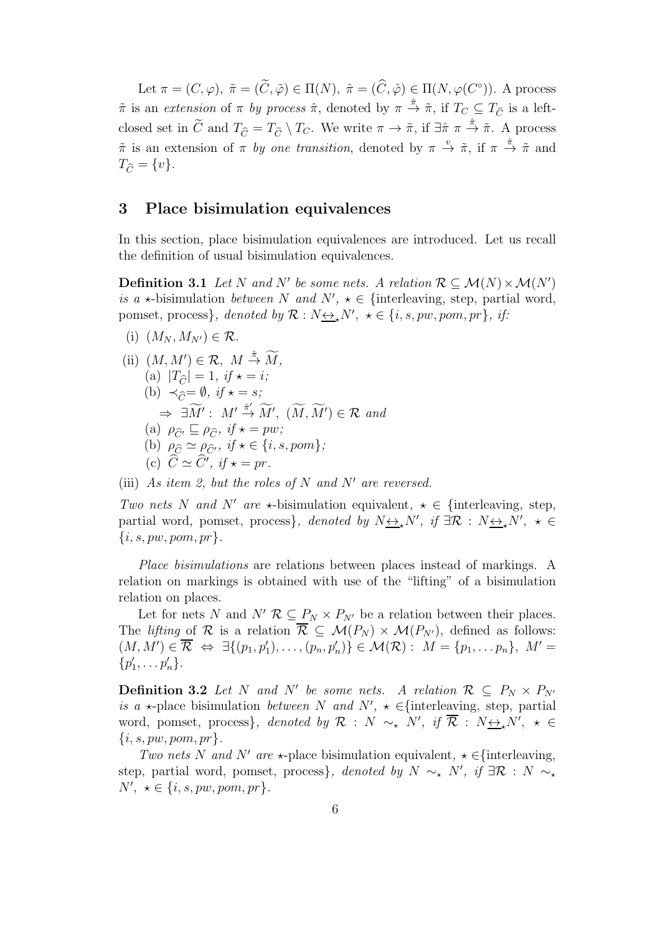Let  $\pi = (C, \varphi), \tilde{\pi} = (\tilde{C}, \tilde{\varphi}) \in \Pi(N), \hat{\pi} = (\tilde{C}, \hat{\varphi}) \in \Pi(N, \varphi(C^{\circ})).$  A process  $\tilde{\pi}$  is an extension of  $\pi$  by process  $\hat{\pi}$ , denoted by  $\pi \stackrel{\hat{\pi}}{\rightarrow} \tilde{\pi}$ , if  $T_C \subseteq T_{\tilde{C}}$  is a leftclosed set in  $\tilde{C}$  and  $T_{\tilde{C}} = T_{\tilde{C}} \setminus T_C$ . We write  $\pi \to \tilde{\pi}$ , if  $\exists \hat{\pi} \pi \stackrel{\hat{\pi}}{\to} \tilde{\pi}$ . A process  $\tilde{\pi}$  is an extension of  $\pi$  by one transition, denoted by  $\pi \stackrel{v}{\to} \tilde{\pi}$ , if  $\pi \stackrel{\hat{\pi}}{\to} \tilde{\pi}$  and  $T_{\widehat{C}} = \{v\}.$ 

#### 3 Place bisimulation equivalences

In this section, place bisimulation equivalences are introduced. Let us recall the definition of usual bisimulation equivalences.

**Definition 3.1** Let N and N' be some nets. A relation  $\mathcal{R} \subseteq \mathcal{M}(N) \times \mathcal{M}(N')$ is a  $\star$ -bisimulation between N and N',  $\star \in \{$ interleaving, step, partial word, pomset, process}, denoted by  $\mathcal{R}: N_{\frac{\leftrightarrow}{\infty}}N'$ ,  $\star \in \{i, s, pw, pom, pr\}$ , if:

(i)  $(M_N, M_{N'}) \in \mathcal{R}$ .

(ii) 
$$
(M, M') \in \mathcal{R}
$$
,  $M \stackrel{\hat{\pi}}{\rightarrow} \widetilde{M}$ ,  
\n(a)  $|T_{\widehat{C}}| = 1$ ,  $if \star = i$ ;  
\n(b)  $\prec_{\widehat{C}} = \emptyset$ ,  $if \star = s$ ;  
\n $\Rightarrow \exists \widetilde{M}' : M' \stackrel{\hat{\pi}'}{\rightarrow} \widetilde{M}'$ ,  $(\widetilde{M}, \widetilde{M}') \in \mathcal{R}$  and  
\n(a)  $\rho_{\widehat{C}'} \sqsubseteq \rho_{\widehat{C}}$ ,  $if \star = pw$ ;  
\n(b)  $\rho_{\widehat{C}} \simeq \rho_{\widehat{C}'}$ ,  $if \star \in \{i, s, pom\}$ ;  
\n(c)  $\widehat{C} \simeq \widehat{C}'$ ,  $if \star = pr$ .

(iii) As item 2, but the roles of N and N' are reversed.

Two nets N and N' are  $\star$ -bisimulation equivalent,  $\star \in \{$ interleaving, step, partial word, pomset, process}, denoted by  $N_{\sum_{k} N'}$ , if  $\exists \mathcal{R} : N_{\sum_{k} N'}$ ,  $\star \in$  $\{i, s, pw, pom, pr\}.$ 

Place bisimulations are relations between places instead of markings. A relation on markings is obtained with use of the "lifting" of a bisimulation relation on places.

Let for nets N and  $N'$   $\mathcal{R} \subseteq P_N \times P_{N'}$  be a relation between their places. The *lifting* of  $\mathcal{R}$  is a relation  $\overline{\mathcal{R}} \subseteq \mathcal{M}(P_N) \times \mathcal{M}(P_{N'})$ , defined as follows:  $(M, M') \in \overline{\mathcal{R}} \Leftrightarrow \exists \{(p_1, p'_1), \ldots, (p_n, p'_n)\} \in \mathcal{M}(\mathcal{R}) : M = \{p_1, \ldots p_n\}, M' =$  $\{p'_1, \ldots p'_n\}.$ 

**Definition 3.2** Let N and N' be some nets. A relation  $\mathcal{R} \subseteq P_N \times P_{N'}$ is a  $\star$ -place bisimulation *between* N and N',  $\star \in$ {interleaving, step, partial word, pomset, process}, denoted by  $\mathcal{R}$  : N  $\sim_{\star}$  N', if  $\overline{\mathcal{R}}$  : N $\leftrightarrow_{\star} N'$ ,  $\star \in$  $\{i, s, pw, pom, pr\}.$ 

Two nets N and N' are  $\star$ -place bisimulation equivalent,  $\star \in$ {interleaving, step, partial word, pomset, process}, denoted by  $N \sim_{\star} N'$ , if  $\exists \mathcal{R} : N \sim_{\star}$  $N', \; \star \in \{i, s, pw, pom, pr\}.$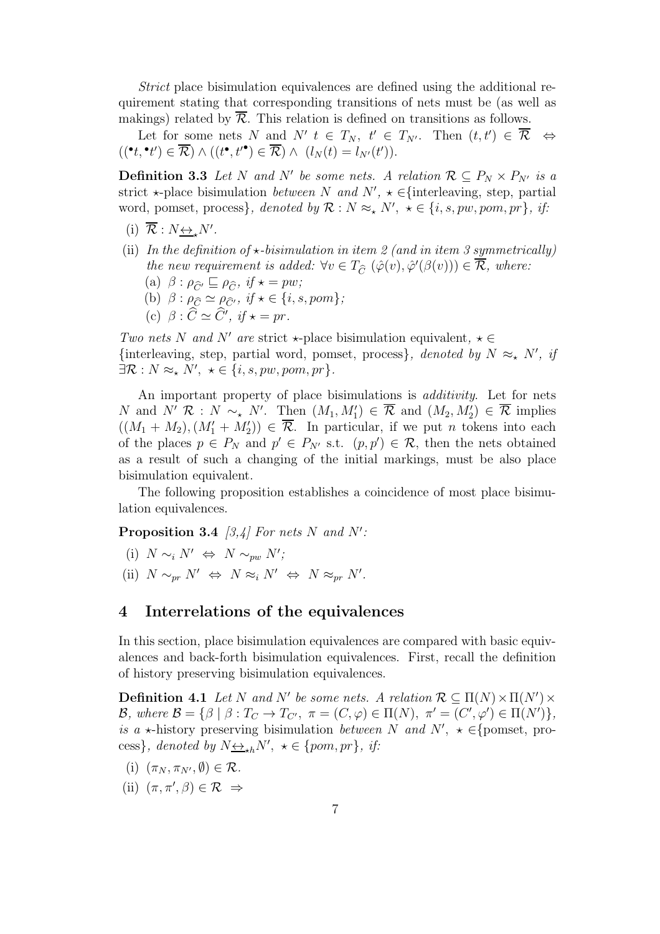Strict place bisimulation equivalences are defined using the additional requirement stating that corresponding transitions of nets must be (as well as makings) related by  $\overline{\mathcal{R}}$ . This relation is defined on transitions as follows.

Let for some nets N and N'  $t \in T_N$ ,  $t' \in T_{N'}$ . Then  $(t, t') \in \overline{\mathcal{R}} \iff$  $((\bullet_t, \bullet_{t'}) \in \overline{\mathcal{R}}) \wedge ((t^{\bullet}, t'^{\bullet}) \in \overline{\mathcal{R}}) \wedge (l_N(t) = l_{N'}(t')).$ 

**Definition 3.3** Let N and N' be some nets. A relation  $\mathcal{R} \subseteq P_N \times P_{N'}$  is a strict  $\star$ -place bisimulation *between* N and N',  $\star \in$ {interleaving, step, partial word, pomset, process}, denoted by  $\mathcal{R}: N \approx_{\star} N'$ ,  $\star \in \{i, s, pw, pom, pr\}$ , if:

- (i)  $\overline{\mathcal{R}} : N \underline{\leftrightarrow}_{\star} N'$ .
- (ii) In the definition of  $\star$ -bisimulation in item 2 (and in item 3 symmetrically) the new requirement is added:  $\forall v \in T_{\widehat{C}} (\widehat{\varphi}(v), \widehat{\varphi}'(\beta(v))) \in \overline{\mathcal{R}}$ , where:
	- (a)  $\beta : \rho_{\widehat{C}'} \sqsubseteq \rho_{\widehat{C}}$ , if  $\star = pw$ ;
	- (b)  $\beta : \rho_{\widehat{C}} \simeq \rho_{\widehat{C}}$ ', if  $\star \in \{i, s, pom\};$
	- (c)  $\beta$  :  $\hat{C} \simeq \hat{C}'$ , if  $\star = pr$ .

Two nets N and N' are strict  $\star$ -place bisimulation equivalent,  $\star \in$ {interleaving, step, partial word, pomset, process}, denoted by  $N \approx_{\star} N'$ , if  $\exists \mathcal{R}: N \approx_{\star} N', \ \star \in \{i, s, pw, pom, pr\}.$ 

An important property of place bisimulations is *additivity*. Let for nets N and N' R : N ~\* N'. Then  $(M_1, M'_1) \in \overline{\mathcal{R}}$  and  $(M_2, M'_2) \in \overline{\mathcal{R}}$  implies  $((M_1 + M_2), (M'_1 + M'_2)) \in \overline{\mathcal{R}}$ . In particular, if we put *n* tokens into each of the places  $p \in P_N$  and  $p' \in P_{N'}$  s.t.  $(p, p') \in \mathcal{R}$ , then the nets obtained as a result of such a changing of the initial markings, must be also place bisimulation equivalent.

The following proposition establishes a coincidence of most place bisimulation equivalences.

**Proposition 3.4** [3,4] For nets N and N':

(i)  $N \sim_i N' \Leftrightarrow N \sim_{pw} N'$ ; (ii)  $N \sim_{pr} N' \Leftrightarrow N \approx_i N' \Leftrightarrow N \approx_{pr} N'.$ 

# 4 Interrelations of the equivalences

In this section, place bisimulation equivalences are compared with basic equivalences and back-forth bisimulation equivalences. First, recall the definition of history preserving bisimulation equivalences.

**Definition 4.1** Let N and N' be some nets. A relation  $\mathcal{R} \subseteq \Pi(N) \times \Pi(N') \times \Pi(N')$ B, where  $\mathcal{B} = \{\beta \mid \beta : T_{C} \to T_{C'} , \pi = (C, \varphi) \in \Pi(N) , \pi' = (C', \varphi') \in \Pi(N') \},$ is a  $\star$ -history preserving bisimulation between N and N',  $\star \in$ {pomset, process}, denoted by  $N \underline{\leftrightarrow}_{\star h} N'$ ,  $\star \in \{pom, pr\}$ , if:

- (i)  $(\pi_N, \pi_{N'}, \emptyset) \in \mathcal{R}$ .
- (ii)  $(\pi, \pi', \beta) \in \mathcal{R} \Rightarrow$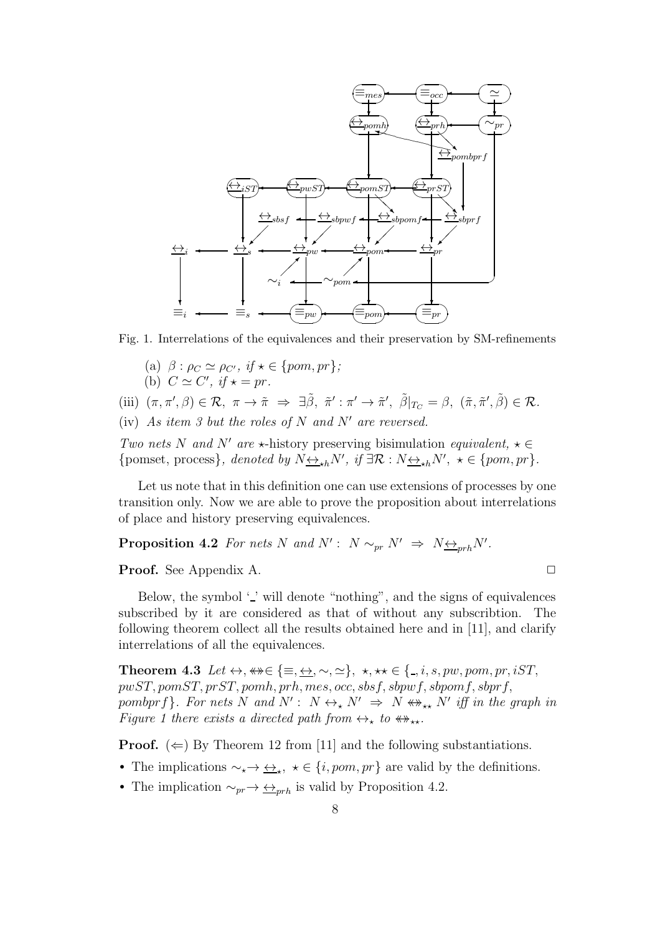

Fig. 1. Interrelations of the equivalences and their preservation by SM-refinements

- (a)  $\beta : \rho_C \simeq \rho_{C'}$ , if  $\star \in \{pom, pr\}$ ;
- (b)  $C \simeq C', \text{ if } \star = pr.$

(iii)  $(\pi, \pi', \beta) \in \mathcal{R}, \ \pi \to \tilde{\pi} \Rightarrow \exists \tilde{\beta}, \ \tilde{\pi}' : \pi' \to \tilde{\pi}', \ \tilde{\beta}|_{T_C} = \beta, \ (\tilde{\pi}, \tilde{\pi}', \tilde{\beta}) \in \mathcal{R}.$ 

(iv) As item 3 but the roles of N and N' are reversed.

Two nets N and N' are  $\star$ -history preserving bisimulation equivalent,  $\star \in$ {pomset, process}, denoted by  $N \leftrightarrow_{\star h} N'$ , if  $\exists \mathcal{R} : N \leftrightarrow_{\star h} N'$ ,  $\star \in \{pom, pr\}$ .

Let us note that in this definition one can use extensions of processes by one transition only. Now we are able to prove the proposition about interrelations of place and history preserving equivalences.

**Proposition 4.2** For nets N and  $N'$ :  $N \sim_{pr} N' \Rightarrow N \underline{\leftrightarrow}_{prh} N'$ .

**Proof.** See Appendix A. ◯

Below, the symbol  $\prime$  ' will denote "nothing", and the signs of equivalences subscribed by it are considered as that of without any subscribtion. The following theorem collect all the results obtained here and in [11], and clarify interrelations of all the equivalences.

Theorem 4.3 Let  $\leftrightarrow$ ,  $\leftrightarrow \in \{\equiv, \leftrightarrow, \sim, \simeq\}$ ,  $\star$ ,  $\star \star \in \{\equiv, i, s, pw, pom, pr, iST,$  $pwST, pomST, prST, pomh, prh, mes, occ, sbsf, sbpwf, sbpomf, sbprf,$ pombprf}. For nets N and  $N' : N \leftrightarrow_{\star} N' \Rightarrow N \leftrightarrow_{\star \star} N'$  iff in the graph in Figure 1 there exists a directed path from  $\leftrightarrow_{\star}$  to  $\leftrightarrow_{\star\star}$ .

**Proof.**  $(\Leftarrow)$  By Theorem 12 from [11] and the following substantiations.

- The implications  $\sim_{\star} \to \leftrightarrow_{\star}$ ,  $\star \in \{i, pom, pr\}$  are valid by the definitions.
- The implication  $\sim_{pr} \rightarrow \underline{\leftrightarrow}_{prh}$  is valid by Proposition 4.2.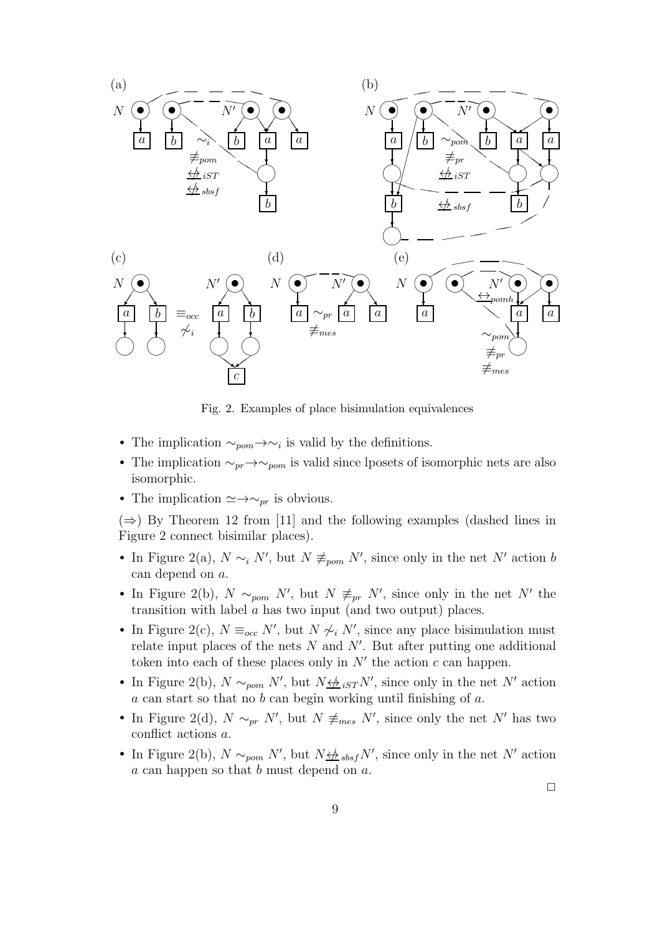

Fig. 2. Examples of place bisimulation equivalences

- The implication  $\sim_{\text{pom}} \rightarrow \sim_i$  is valid by the definitions.
- The implication  $\sim_{pr} \to \sim_{pom}$  is valid since lposets of isomorphic nets are also isomorphic.
- The implication  $\simeq \rightarrow \sim_{pr}$  is obvious.

 $(\Rightarrow)$  By Theorem 12 from [11] and the following examples (dashed lines in Figure 2 connect bisimilar places).

- In Figure 2(a),  $N \sim_i N'$ , but  $N \not\equiv_{\text{pom}} N'$ , since only in the net N' action b can depend on a.
- In Figure 2(b),  $N \sim_{\text{pom}} N'$ , but  $N \neq_{\text{pr}} N'$ , since only in the net N' the transition with label  $a$  has two input (and two output) places.
- In Figure 2(c),  $N \equiv_{occ} N'$ , but  $N \not\sim_i N'$ , since any place bisimulation must relate input places of the nets  $N$  and  $N'$ . But after putting one additional token into each of these places only in  $N'$  the action  $c$  can happen.
- In Figure 2(b),  $N \sim_{\text{pom}} N'$ , but  $N \underline{\leftrightarrow} _{iST} N'$ , since only in the net N' action  $a$  can start so that no  $b$  can begin working until finishing of  $a$ .
- In Figure 2(d),  $N \sim_{pr} N'$ , but  $N \neq_{mes} N'$ , since only the net N' has two conflict actions a.
- In Figure 2(b),  $N \sim_{\text{pom}} N'$ , but  $N \not\rightarrow \text{obs } N'$ , since only in the net N' action a can happen so that b must depend on a.

 $\Box$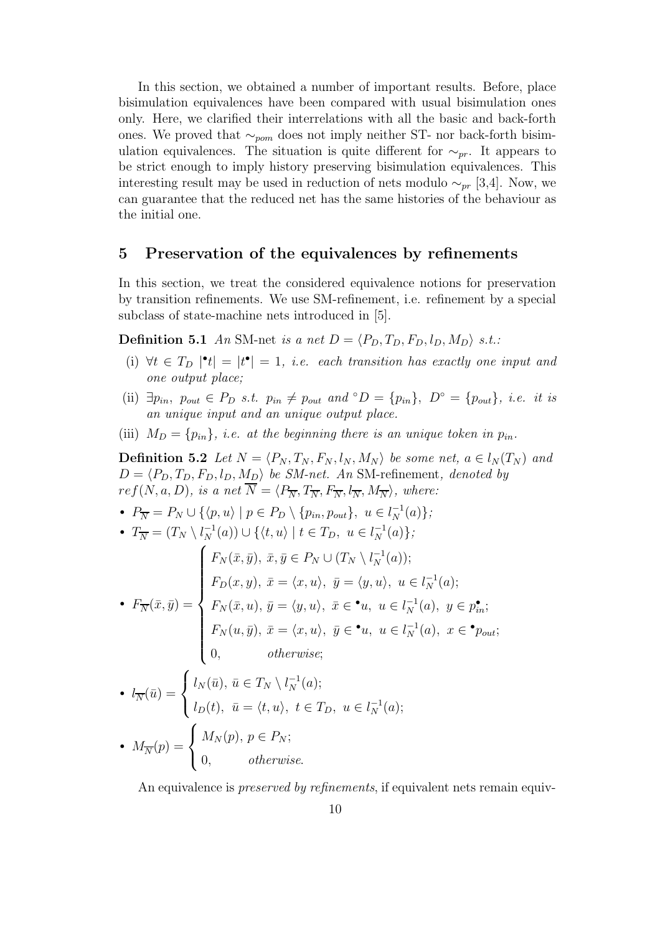In this section, we obtained a number of important results. Before, place bisimulation equivalences have been compared with usual bisimulation ones only. Here, we clarified their interrelations with all the basic and back-forth ones. We proved that  $\sim_{\textit{nom}}$  does not imply neither ST- nor back-forth bisimulation equivalences. The situation is quite different for  $\sim_{pr}$ . It appears to be strict enough to imply history preserving bisimulation equivalences. This interesting result may be used in reduction of nets modulo  $\sim_{pr}$  [3,4]. Now, we can guarantee that the reduced net has the same histories of the behaviour as the initial one.

#### 5 Preservation of the equivalences by refinements

In this section, we treat the considered equivalence notions for preservation by transition refinements. We use SM-refinement, i.e. refinement by a special subclass of state-machine nets introduced in [5].

**Definition 5.1** An SM-net is a net  $D = \langle P_D, T_D, F_D, l_D, M_D \rangle$  s.t.:

- (i)  $\forall t \in T_D \mid t \mid = |t^{\bullet}| = 1$ , i.e. each transition has exactly one input and one output place;
- (ii)  $\exists p_{in}, p_{out} \in P_D \text{ s.t. } p_{in} \neq p_{out} \text{ and } \circ D = \{p_{in}\}, D^{\circ} = \{p_{out}\}, i.e. \text{ it is}$ an unique input and an unique output place.
- (iii)  $M_D = \{p_{in}\}\$ , i.e. at the beginning there is an unique token in  $p_{in}$ .

**Definition 5.2** Let  $N = \langle P_N , T_N , F_N , l_N , M_N \rangle$  be some net,  $a \in l_N (T_N )$  and  $D = \langle P_D, T_D, F_D, l_D, M_D \rangle$  be SM-net. An SM-refinement, denoted by  $ref(N, a, D),$  is a net  $\overline{N} = \langle P_{\overline{N}}, T_{\overline{N}}, F_{\overline{N}}, l_{\overline{N}}, M_{\overline{N}} \rangle$ , where:

•  $P_{\overline{N}} = P_N \cup \{ \langle p, u \rangle \mid p \in P_D \setminus \{ p_{in}, p_{out} \}, u \in l_N^{-1}(a) \};$ •  $T_{\overline{N}} = (T_N \setminus l_N^{-1}(a)) \cup \{ \langle t, u \rangle \mid t \in T_D, u \in l_N^{-1}(a) \};$ •  $F_{\overline{N}}(\bar{x},\bar{y}) =$  $\sqrt{ }$  $\overline{\phantom{a}}$   $F_N(\bar{x}, \bar{y}), \ \bar{x}, \bar{y} \in P_N \cup (T_N \setminus l_N^{-1}(a));$  $F_D(x, y), \ \bar{x} = \langle x, u \rangle, \ \bar{y} = \langle y, u \rangle, \ u \in l_N^{-1}(a);$  $F_N(\bar{x}, u), \bar{y} = \langle y, u \rangle, \ \bar{x} \in \bullet u, \ u \in l_N^{-1}(a), \ y \in p_{in}^{\bullet};$  $F_N(u, \bar{y}), \ \bar{x} = \langle x, u \rangle, \ \bar{y} \in \bullet u, \ u \in l_N^{-1}(a), \ x \in \bullet_{\text{Pout}};$ 

$$
0, \qquad \qquad otherwise;
$$

\n- \n
$$
l_{\overline{N}}(\overline{u}) =\n \begin{cases}\n l_N(\overline{u}), \overline{u} \in T_N \setminus l_N^{-1}(a); \\
l_D(t), \overline{u} = \langle t, u \rangle, \ t \in T_D, \ u \in l_N^{-1}(a); \\
l_N(p) =\n \begin{cases}\n M_N(p), \ p \in P_N; \\
0, \quad \text{otherwise.}\n \end{cases}\n \end{cases}
$$
\n
\n

An equivalence is *preserved by refinements*, if equivalent nets remain equiv-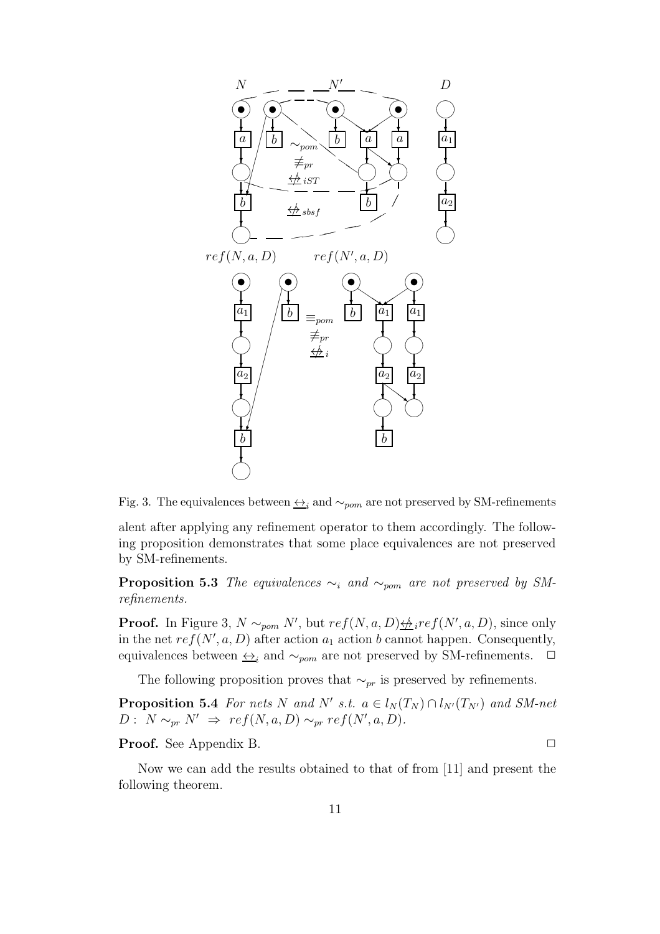

Fig. 3. The equivalences between  $\leftrightarrow_i$  and  $\sim_{pom}$  are not preserved by SM-refinements

alent after applying any refinement operator to them accordingly. The following proposition demonstrates that some place equivalences are not preserved by SM-refinements.

**Proposition 5.3** The equivalences  $\sim_i$  and  $\sim_{pom}$  are not preserved by SMrefinements.

**Proof.** In Figure 3,  $N \sim_{\text{pom}} N'$ , but  $ref(N, a, D) \not\Rightarrow_{i} ref(N', a, D)$ , since only in the net  $ref(N', a, D)$  after action  $a_1$  action b cannot happen. Consequently, equivalences between  $\leftrightarrow$ <sub>i</sub> and  $\sim$ <sub>pom</sub> are not preserved by SM-refinements.  $\Box$ 

The following proposition proves that  $\sim_{pr}$  is preserved by refinements.

**Proposition 5.4** For nets N and N' s.t.  $a \in l_N(T_N) \cap l_{N'}(T_{N'})$  and SM-net  $D: N \sim_{pr} N' \Rightarrow ref(N, a, D) \sim_{pr} ref(N', a, D).$ 

Proof. See Appendix B. ✷

Now we can add the results obtained to that of from [11] and present the following theorem.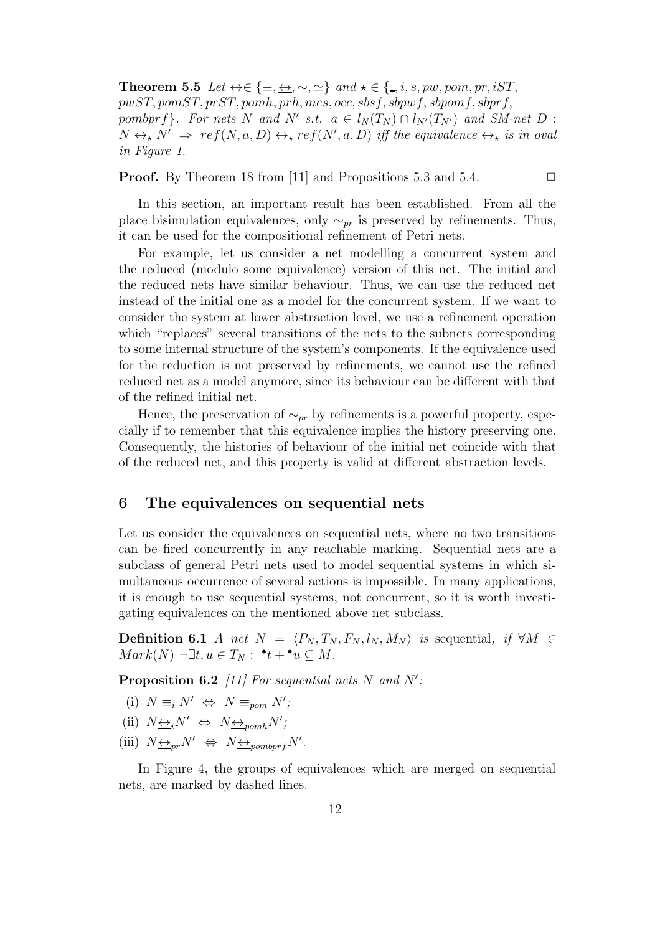Theorem 5.5 Let  $\leftrightarrow \in \{\equiv, \leftrightarrow, \sim, \simeq\}$  and  $\star \in \{., i, s, pw, pom, pr, iST,$ pwST, pomST, prST, pomh, prh, mes, occ, sbsf, sbpwf, sbpomf, sbprf, pombprf}. For nets N and N' s.t.  $a \in l_N(T_N) \cap l_{N'}(T_{N'})$  and SM-net D :  $N \leftrightarrow_{\star} N' \Rightarrow \text{ref}(N, a, D) \leftrightarrow_{\star} \text{ref}(N', a, D)$  iff the equivalence  $\leftrightarrow_{\star}$  is in oval in Figure 1.

**Proof.** By Theorem 18 from [11] and Propositions 5.3 and 5.4.  $\Box$ 

In this section, an important result has been established. From all the place bisimulation equivalences, only  $\sim_{pr}$  is preserved by refinements. Thus, it can be used for the compositional refinement of Petri nets.

For example, let us consider a net modelling a concurrent system and the reduced (modulo some equivalence) version of this net. The initial and the reduced nets have similar behaviour. Thus, we can use the reduced net instead of the initial one as a model for the concurrent system. If we want to consider the system at lower abstraction level, we use a refinement operation which "replaces" several transitions of the nets to the subnets corresponding to some internal structure of the system's components. If the equivalence used for the reduction is not preserved by refinements, we cannot use the refined reduced net as a model anymore, since its behaviour can be different with that of the refined initial net.

Hence, the preservation of  $\sim_{pr}$  by refinements is a powerful property, especially if to remember that this equivalence implies the history preserving one. Consequently, the histories of behaviour of the initial net coincide with that of the reduced net, and this property is valid at different abstraction levels.

#### 6 The equivalences on sequential nets

Let us consider the equivalences on sequential nets, where no two transitions can be fired concurrently in any reachable marking. Sequential nets are a subclass of general Petri nets used to model sequential systems in which simultaneous occurrence of several actions is impossible. In many applications, it is enough to use sequential systems, not concurrent, so it is worth investigating equivalences on the mentioned above net subclass.

Definition 6.1 A net  $N = \langle P_N , T_N , F_N , l_N , M_N \rangle$  is sequential, if  $\forall M \in$  $Mark(N) \neg \exists t, u \in T_N : \mathbf{P} \cdot t + \mathbf{P} u \subseteq M.$ 

**Proposition 6.2** [11] For sequential nets N and N':

- (i)  $N \equiv_i N' \Leftrightarrow N \equiv_{\text{pom}} N'$ ;
- (ii)  $N \leftrightarrow N' \Leftrightarrow N \leftrightarrow_{\text{pomh}} N'$ ;
- (iii)  $N \leftrightarrow N' \Leftrightarrow N \leftrightarrow_{pombprf} N'$ .

In Figure 4, the groups of equivalences which are merged on sequential nets, are marked by dashed lines.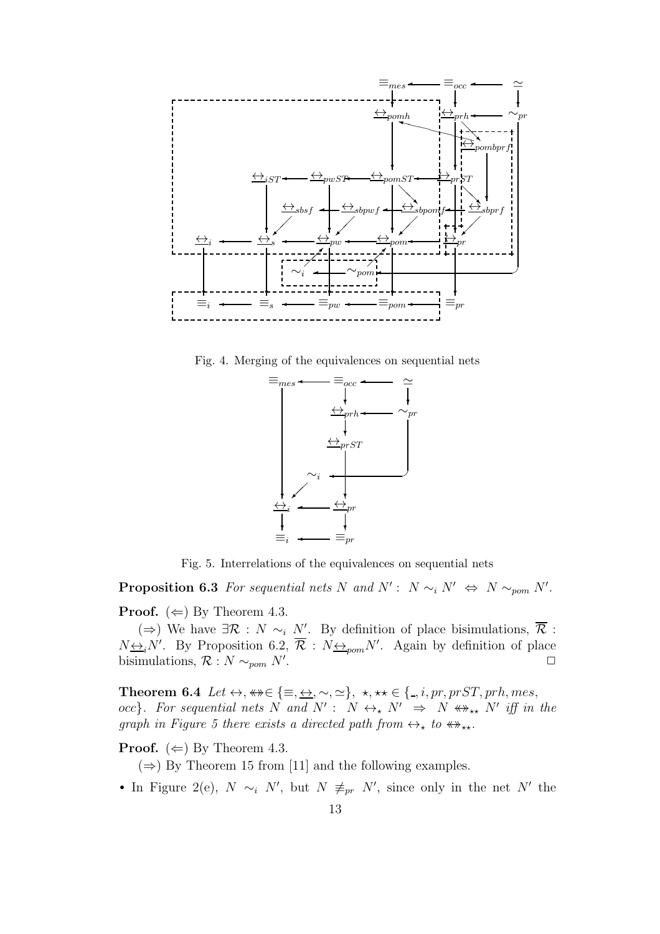

Fig. 4. Merging of the equivalences on sequential nets



Fig. 5. Interrelations of the equivalences on sequential nets

**Proposition 6.3** For sequential nets N and  $N' : N \sim_i N' \Leftrightarrow N \sim_{\text{pom}} N'$ .

**Proof.** ( $\Leftarrow$ ) By Theorem 4.3.

(⇒) We have  $\exists \mathcal{R} : N \sim_i N'$ . By definition of place bisimulations,  $\overline{\mathcal{R}}$ :  $N_{\frac{\leftrightarrow i}{N}}N'$ . By Proposition 6.2,  $\overline{\mathcal{R}}$  :  $N_{\frac{\leftrightarrow}{N}}N'$ . Again by definition of place bisimulations,  $\mathcal{R}: N \sim_{\text{pom}} N'$ . . ✷

Theorem 6.4 Let  $\leftrightarrow$ ,  $\leftrightarrow \in \{\equiv, \leftrightarrow, \sim, \simeq\}$ ,  $\star, \star \in \{\_, i, pr, prST, prh, mes,$ occ}. For sequential nets N and  $N' : N \leftrightarrow_{\star} N' \Rightarrow N \leftrightarrow_{\star \star} N'$  iff in the graph in Figure 5 there exists a directed path from  $\leftrightarrow_{\star}$  to  $\leftrightarrow_{\star\star}$ .

**Proof.** ( $\Leftarrow$ ) By Theorem 4.3.

 $(\Rightarrow)$  By Theorem 15 from [11] and the following examples.

• In Figure 2(e),  $N \sim_i N'$ , but  $N \neq_{pr} N'$ , since only in the net N' the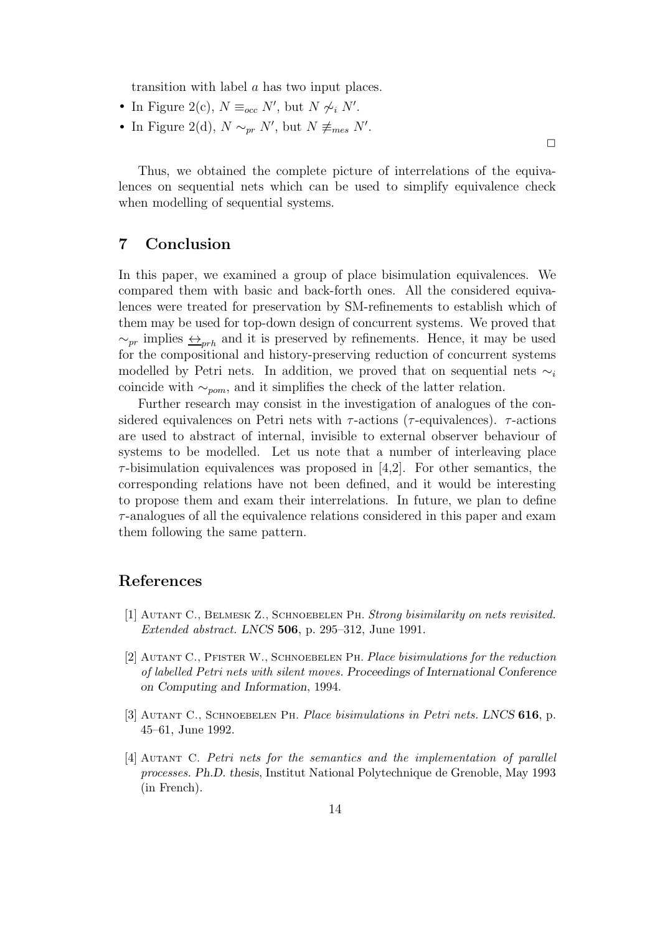transition with label a has two input places.

- In Figure 2(c),  $N \equiv_{occ} N'$ , but  $N \not\sim_i N'$ .
- In Figure 2(d),  $N \sim_{pr} N'$ , but  $N \not\equiv_{mes} N'$ .

Thus, we obtained the complete picture of interrelations of the equivalences on sequential nets which can be used to simplify equivalence check when modelling of sequential systems.

## 7 Conclusion

In this paper, we examined a group of place bisimulation equivalences. We compared them with basic and back-forth ones. All the considered equivalences were treated for preservation by SM-refinements to establish which of them may be used for top-down design of concurrent systems. We proved that  $\sim_{pr}$  implies  $\leftrightarrow_{prh}$  and it is preserved by refinements. Hence, it may be used for the compositional and history-preserving reduction of concurrent systems modelled by Petri nets. In addition, we proved that on sequential nets  $\sim_i$ coincide with  $\sim_{\text{nom}}$ , and it simplifies the check of the latter relation.

Further research may consist in the investigation of analogues of the considered equivalences on Petri nets with  $\tau$ -actions ( $\tau$ -equivalences).  $\tau$ -actions are used to abstract of internal, invisible to external observer behaviour of systems to be modelled. Let us note that a number of interleaving place  $\tau$ -bisimulation equivalences was proposed in [4,2]. For other semantics, the corresponding relations have not been defined, and it would be interesting to propose them and exam their interrelations. In future, we plan to define  $\tau$ -analogues of all the equivalence relations considered in this paper and exam them following the same pattern.

### References

- [1] Autant C., Belmesk Z., Schnoebelen Ph. *Strong bisimilarity on nets revisited. Extended abstract.* LNCS 506, p. 295–312, June 1991.
- [2] Autant C., Pfister W., Schnoebelen Ph. *Place bisimulations for the reduction of labelled Petri nets with silent moves.* Proceedings of International Conference on Computing and Information, 1994.
- [3] Autant C., Schnoebelen Ph. *Place bisimulations in Petri nets.* LNCS 616, p. 45–61, June 1992.
- [4] Autant C. *Petri nets for the semantics and the implementation of parallel processes.* Ph.D. thesis, Institut National Polytechnique de Grenoble, May 1993 (in French).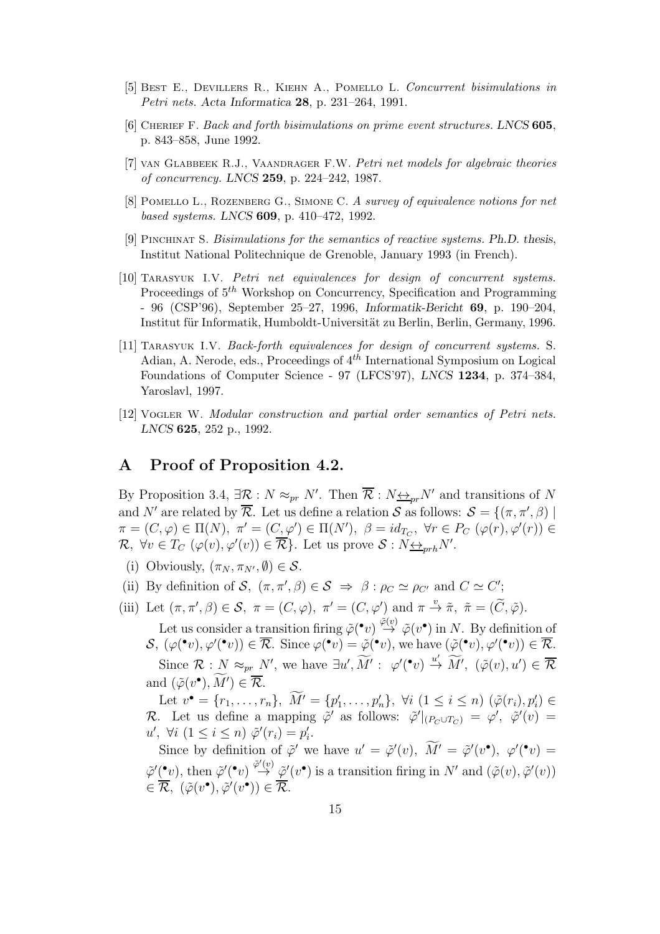- [5] Best E., Devillers R., Kiehn A., Pomello L. *Concurrent bisimulations in Petri nets.* Acta Informatica 28, p. 231–264, 1991.
- [6] Cherief F. *Back and forth bisimulations on prime event structures.* LNCS 605, p. 843–858, June 1992.
- [7] van Glabbeek R.J., Vaandrager F.W. *Petri net models for algebraic theories of concurrency.* LNCS 259, p. 224–242, 1987.
- [8] Pomello L., Rozenberg G., Simone C. *A survey of equivalence notions for net based systems.* LNCS 609, p. 410–472, 1992.
- [9] Pinchinat S. *Bisimulations for the semantics of reactive systems.* Ph.D. thesis, Institut National Politechnique de Grenoble, January 1993 (in French).
- [10] Tarasyuk I.V. *Petri net equivalences for design of concurrent systems.* Proceedings of  $5<sup>th</sup>$  Workshop on Concurrency, Specification and Programming - 96 (CSP'96), September 25–27, 1996, Informatik-Bericht 69, p. 190–204, Institut für Informatik, Humboldt-Universität zu Berlin, Berlin, Germany, 1996.
- [11] Tarasyuk I.V. *Back-forth equivalences for design of concurrent systems.* S. Adian, A. Nerode, eds., Proceedings of  $4^{th}$  International Symposium on Logical Foundations of Computer Science - 97 (LFCS'97), LNCS 1234, p. 374–384, Yaroslavl, 1997.
- [12] Vogler W. *Modular construction and partial order semantics of Petri nets.* LNCS 625, 252 p., 1992.

#### A Proof of Proposition 4.2.

By Proposition 3.4,  $\exists \mathcal{R}: N \approx_{pr} N'$ . Then  $\overline{\mathcal{R}}: N \underline{\leftrightarrow}_{pr} N'$  and transitions of N and N' are related by  $\overline{\mathcal{R}}$ . Let us define a relation S as follows:  $\mathcal{S} = \{(\pi, \pi', \beta) \mid \pi \in \mathcal{S} \mid \pi \in \mathcal{S} \mid \pi \in \mathcal{S} \mid \pi \in \mathcal{S} \}$  $\pi = (C, \varphi) \in \Pi(N), \pi' = (C, \varphi') \in \Pi(N'), \ \beta = id_{T_C}, \ \forall r \in P_C \ (\varphi(r), \varphi'(r)) \in$  $\mathcal{R}, \ \forall v \in T_C \ (\varphi(v), \varphi'(v)) \in \overline{\mathcal{R}} \}.$  Let us prove  $\mathcal{S} : N_{\frac{\leftrightarrow}{\mathcal{N}}r}N'.$ 

- (i) Obviously,  $(\pi_N, \pi_{N'}, \emptyset) \in \mathcal{S}$ .
- (ii) By definition of S,  $(\pi, \pi', \beta) \in S \implies \beta : \rho_C \simeq \rho_{C'}$  and  $C \simeq C'$ ;
- (iii) Let  $(\pi, \pi', \beta) \in \mathcal{S}$ ,  $\pi = (C, \varphi)$ ,  $\pi' = (C, \varphi')$  and  $\pi \stackrel{v}{\to} \tilde{\pi}$ ,  $\tilde{\pi} = (\tilde{C}, \tilde{\varphi})$ .

Let us consider a transition firing  $\tilde{\varphi}(\cdot v) \stackrel{\tilde{\varphi}(v)}{\rightarrow} \tilde{\varphi}(v^{\bullet})$  in N. By definition of  $S, (\varphi({}^{\bullet}v), \varphi'({}^{\bullet}v)) \in \overline{\mathcal{R}}.$  Since  $\varphi({}^{\bullet}v) = \tilde{\varphi}({}^{\bullet}v)$ , we have  $(\tilde{\varphi}({}^{\bullet}v), \varphi'({}^{\bullet}v)) \in \overline{\mathcal{R}}.$ Since  $\mathcal{R}: N \approx_{pr} N'$ , we have  $\exists u', \widetilde{M}': \varphi'(\cdot v) \stackrel{u'}{\rightarrow} \widetilde{M}'$ ,  $(\tilde{\varphi}(v), u') \in \overline{\mathcal{R}}$ and  $(\tilde{\varphi}(v^{\bullet}), M') \in \overline{\mathcal{R}}$ .

Let  $v^{\bullet} = \{r_1, \ldots, r_n\}, M' = \{p'_1, \ldots, p'_n\}, \forall i \ (1 \leq i \leq n) \ (\tilde{\varphi}(r_i), p'_i) \in$ R. Let us define a mapping  $\tilde{\varphi}'$  as follows:  $\tilde{\varphi}'|_{(P_C \cup T_C)} = \varphi', \; \tilde{\varphi}'(v) =$  $u', \forall i \ (1 \leq i \leq n) \ \tilde{\varphi}'(r_i) = p'_i.$ 

Since by definition of  $\tilde{\varphi}'$  we have  $u' = \tilde{\varphi}'(v)$ ,  $M' = \tilde{\varphi}'(v^{\bullet})$ ,  $\varphi'(\bullet v) =$  $\tilde{\varphi}'(r)$ , then  $\tilde{\varphi}'(r) \stackrel{\tilde{\varphi}'(v)}{\rightarrow} \tilde{\varphi}'(v^{\bullet})$  is a transition firing in N' and  $(\tilde{\varphi}(v), \tilde{\varphi}'(v))$  $\in \overline{\mathcal{R}}, \ (\tilde{\varphi}(v^{\bullet}), \tilde{\varphi}'(v^{\bullet})) \in \overline{\mathcal{R}}.$